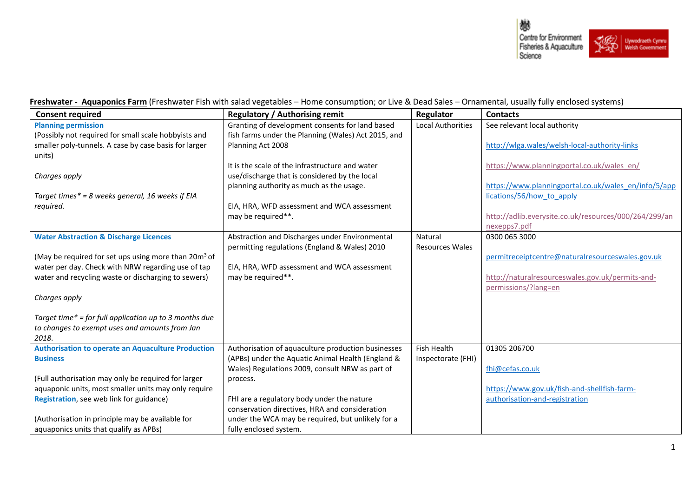

**Freshwater - Aquaponics Farm** (Freshwater Fish with salad vegetables – Home consumption; or Live & Dead Sales – Ornamental, usually fully enclosed systems)

| <b>Consent required</b>                                          | <b>Regulatory / Authorising remit</b>               | Regulator                | <b>Contacts</b>                                       |
|------------------------------------------------------------------|-----------------------------------------------------|--------------------------|-------------------------------------------------------|
| <b>Planning permission</b>                                       | Granting of development consents for land based     | <b>Local Authorities</b> | See relevant local authority                          |
| (Possibly not required for small scale hobbyists and             | fish farms under the Planning (Wales) Act 2015, and |                          |                                                       |
| smaller poly-tunnels. A case by case basis for larger            | Planning Act 2008                                   |                          | http://wlga.wales/welsh-local-authority-links         |
| units)                                                           |                                                     |                          |                                                       |
|                                                                  | It is the scale of the infrastructure and water     |                          | https://www.planningportal.co.uk/wales_en/            |
| Charges apply                                                    | use/discharge that is considered by the local       |                          |                                                       |
|                                                                  | planning authority as much as the usage.            |                          | https://www.planningportal.co.uk/wales_en/info/5/app  |
| Target times* = 8 weeks general, 16 weeks if EIA                 |                                                     |                          | lications/56/how to apply                             |
| required.                                                        | EIA, HRA, WFD assessment and WCA assessment         |                          |                                                       |
|                                                                  | may be required**.                                  |                          | http://adlib.everysite.co.uk/resources/000/264/299/an |
|                                                                  |                                                     |                          | nexepps7.pdf                                          |
| <b>Water Abstraction &amp; Discharge Licences</b>                | Abstraction and Discharges under Environmental      | Natural                  | 0300 065 3000                                         |
|                                                                  | permitting regulations (England & Wales) 2010       | <b>Resources Wales</b>   |                                                       |
| (May be required for set ups using more than 20m <sup>3</sup> of |                                                     |                          | permitreceiptcentre@naturalresourceswales.gov.uk      |
| water per day. Check with NRW regarding use of tap               | EIA, HRA, WFD assessment and WCA assessment         |                          |                                                       |
| water and recycling waste or discharging to sewers)              | may be required**.                                  |                          | http://naturalresourceswales.gov.uk/permits-and-      |
|                                                                  |                                                     |                          | permissions/?lang=en                                  |
| Charges apply                                                    |                                                     |                          |                                                       |
|                                                                  |                                                     |                          |                                                       |
| Target time* = for full application up to 3 months due           |                                                     |                          |                                                       |
| to changes to exempt uses and amounts from Jan                   |                                                     |                          |                                                       |
| 2018.                                                            |                                                     |                          |                                                       |
| <b>Authorisation to operate an Aquaculture Production</b>        | Authorisation of aquaculture production businesses  | Fish Health              | 01305 206700                                          |
| <b>Business</b>                                                  | (APBs) under the Aquatic Animal Health (England &   | Inspectorate (FHI)       |                                                       |
|                                                                  | Wales) Regulations 2009, consult NRW as part of     |                          | fhi@cefas.co.uk                                       |
| (Full authorisation may only be required for larger              | process.                                            |                          |                                                       |
| aquaponic units, most smaller units may only require             |                                                     |                          | https://www.gov.uk/fish-and-shellfish-farm-           |
| Registration, see web link for guidance)                         | FHI are a regulatory body under the nature          |                          | authorisation-and-registration                        |
|                                                                  | conservation directives, HRA and consideration      |                          |                                                       |
| (Authorisation in principle may be available for                 | under the WCA may be required, but unlikely for a   |                          |                                                       |
| aquaponics units that qualify as APBs)                           | fully enclosed system.                              |                          |                                                       |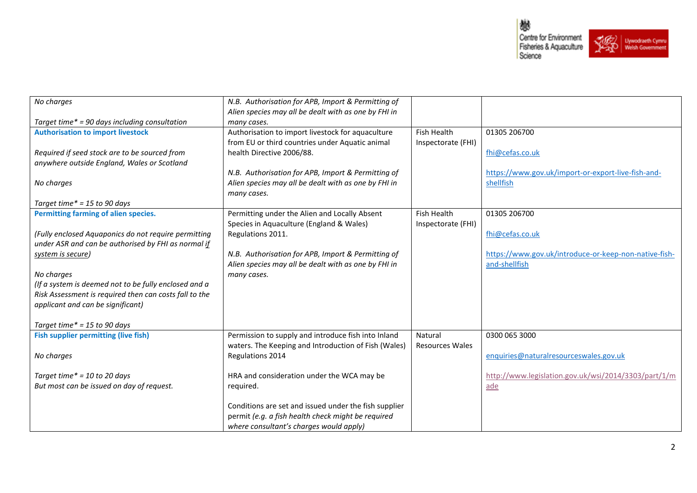

| No charges                                             | N.B. Authorisation for APB, Import & Permitting of    |                        |                                                       |
|--------------------------------------------------------|-------------------------------------------------------|------------------------|-------------------------------------------------------|
|                                                        | Alien species may all be dealt with as one by FHI in  |                        |                                                       |
| Target time* = 90 days including consultation          | many cases.                                           |                        |                                                       |
| <b>Authorisation to import livestock</b>               | Authorisation to import livestock for aquaculture     | Fish Health            | 01305 206700                                          |
|                                                        | from EU or third countries under Aquatic animal       | Inspectorate (FHI)     |                                                       |
| Required if seed stock are to be sourced from          | health Directive 2006/88.                             |                        | fhi@cefas.co.uk                                       |
| anywhere outside England, Wales or Scotland            |                                                       |                        |                                                       |
|                                                        | N.B. Authorisation for APB, Import & Permitting of    |                        | https://www.gov.uk/import-or-export-live-fish-and-    |
| No charges                                             | Alien species may all be dealt with as one by FHI in  |                        | shellfish                                             |
|                                                        | many cases.                                           |                        |                                                       |
| Target time* = 15 to 90 days                           |                                                       |                        |                                                       |
| Permitting farming of alien species.                   | Permitting under the Alien and Locally Absent         | <b>Fish Health</b>     | 01305 206700                                          |
|                                                        |                                                       |                        |                                                       |
|                                                        | Species in Aquaculture (England & Wales)              | Inspectorate (FHI)     |                                                       |
| (Fully enclosed Aquaponics do not require permitting   | Regulations 2011.                                     |                        | fhi@cefas.co.uk                                       |
| under ASR and can be authorised by FHI as normal if    |                                                       |                        |                                                       |
| system is secure)                                      | N.B. Authorisation for APB, Import & Permitting of    |                        | https://www.gov.uk/introduce-or-keep-non-native-fish- |
|                                                        | Alien species may all be dealt with as one by FHI in  |                        | and-shellfish                                         |
| No charges                                             | many cases.                                           |                        |                                                       |
| (If a system is deemed not to be fully enclosed and a  |                                                       |                        |                                                       |
| Risk Assessment is required then can costs fall to the |                                                       |                        |                                                       |
| applicant and can be significant)                      |                                                       |                        |                                                       |
|                                                        |                                                       |                        |                                                       |
| Target time* = 15 to 90 days                           |                                                       |                        |                                                       |
| <b>Fish supplier permitting (live fish)</b>            | Permission to supply and introduce fish into Inland   | Natural                | 0300 065 3000                                         |
|                                                        | waters. The Keeping and Introduction of Fish (Wales)  | <b>Resources Wales</b> |                                                       |
| No charges                                             | Regulations 2014                                      |                        | enquiries@naturalresourceswales.gov.uk                |
|                                                        |                                                       |                        |                                                       |
| Target time* = 10 to 20 days                           | HRA and consideration under the WCA may be            |                        | http://www.legislation.gov.uk/wsi/2014/3303/part/1/m  |
| But most can be issued on day of request.              | required.                                             |                        | ade                                                   |
|                                                        |                                                       |                        |                                                       |
|                                                        | Conditions are set and issued under the fish supplier |                        |                                                       |
|                                                        | permit (e.g. a fish health check might be required    |                        |                                                       |
|                                                        |                                                       |                        |                                                       |
|                                                        | where consultant's charges would apply)               |                        |                                                       |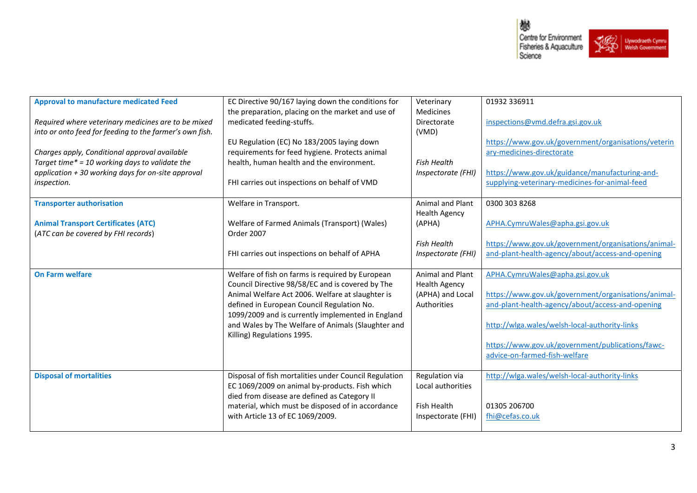

| <b>Approval to manufacture medicated Feed</b>           | EC Directive 90/167 laying down the conditions for    | Veterinary           | 01932 336911                                        |
|---------------------------------------------------------|-------------------------------------------------------|----------------------|-----------------------------------------------------|
|                                                         | the preparation, placing on the market and use of     | <b>Medicines</b>     |                                                     |
| Required where veterinary medicines are to be mixed     | medicated feeding-stuffs.                             | Directorate          | inspections@vmd.defra.gsi.gov.uk                    |
| into or onto feed for feeding to the farmer's own fish. |                                                       | (VMD)                |                                                     |
|                                                         | EU Regulation (EC) No 183/2005 laying down            |                      | https://www.gov.uk/government/organisations/veterin |
| Charges apply, Conditional approval available           | requirements for feed hygiene. Protects animal        |                      | ary-medicines-directorate                           |
| Target time* = 10 working days to validate the          | health, human health and the environment.             | <b>Fish Health</b>   |                                                     |
| application $+30$ working days for on-site approval     |                                                       | Inspectorate (FHI)   | https://www.gov.uk/guidance/manufacturing-and-      |
| inspection.                                             | FHI carries out inspections on behalf of VMD          |                      | supplying-veterinary-medicines-for-animal-feed      |
|                                                         |                                                       |                      |                                                     |
| <b>Transporter authorisation</b>                        | Welfare in Transport.                                 | Animal and Plant     | 0300 303 8268                                       |
|                                                         |                                                       | <b>Health Agency</b> |                                                     |
| <b>Animal Transport Certificates (ATC)</b>              | Welfare of Farmed Animals (Transport) (Wales)         | (APHA)               | APHA.CymruWales@apha.gsi.gov.uk                     |
| (ATC can be covered by FHI records)                     | Order 2007                                            |                      |                                                     |
|                                                         |                                                       | <b>Fish Health</b>   | https://www.gov.uk/government/organisations/animal- |
|                                                         | FHI carries out inspections on behalf of APHA         | Inspectorate (FHI)   | and-plant-health-agency/about/access-and-opening    |
|                                                         |                                                       |                      |                                                     |
| <b>On Farm welfare</b>                                  | Welfare of fish on farms is required by European      | Animal and Plant     | APHA.CymruWales@apha.gsi.gov.uk                     |
|                                                         | Council Directive 98/58/EC and is covered by The      | <b>Health Agency</b> |                                                     |
|                                                         | Animal Welfare Act 2006. Welfare at slaughter is      | (APHA) and Local     | https://www.gov.uk/government/organisations/animal- |
|                                                         |                                                       |                      |                                                     |
|                                                         | defined in European Council Regulation No.            | Authorities          | and-plant-health-agency/about/access-and-opening    |
|                                                         | 1099/2009 and is currently implemented in England     |                      |                                                     |
|                                                         | and Wales by The Welfare of Animals (Slaughter and    |                      | http://wlga.wales/welsh-local-authority-links       |
|                                                         | Killing) Regulations 1995.                            |                      |                                                     |
|                                                         |                                                       |                      | https://www.gov.uk/government/publications/fawc-    |
|                                                         |                                                       |                      | advice-on-farmed-fish-welfare                       |
|                                                         |                                                       |                      |                                                     |
| <b>Disposal of mortalities</b>                          | Disposal of fish mortalities under Council Regulation | Regulation via       | http://wlga.wales/welsh-local-authority-links       |
|                                                         | EC 1069/2009 on animal by-products. Fish which        | Local authorities    |                                                     |
|                                                         | died from disease are defined as Category II          |                      |                                                     |
|                                                         | material, which must be disposed of in accordance     | <b>Fish Health</b>   | 01305 206700                                        |
|                                                         | with Article 13 of EC 1069/2009.                      | Inspectorate (FHI)   | fhi@cefas.co.uk                                     |
|                                                         |                                                       |                      |                                                     |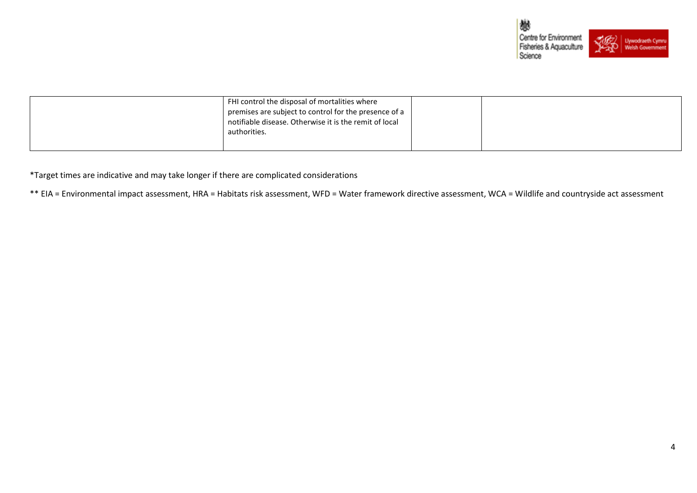

| FHI control the disposal of mortalities where<br>premises are subject to control for the presence of a<br>notifiable disease. Otherwise it is the remit of local<br>authorities. |  |  |
|----------------------------------------------------------------------------------------------------------------------------------------------------------------------------------|--|--|
|                                                                                                                                                                                  |  |  |

\*Target times are indicative and may take longer if there are complicated considerations

\*\* EIA = Environmental impact assessment, HRA = Habitats risk assessment, WFD = Water framework directive assessment, WCA = Wildlife and countryside act assessment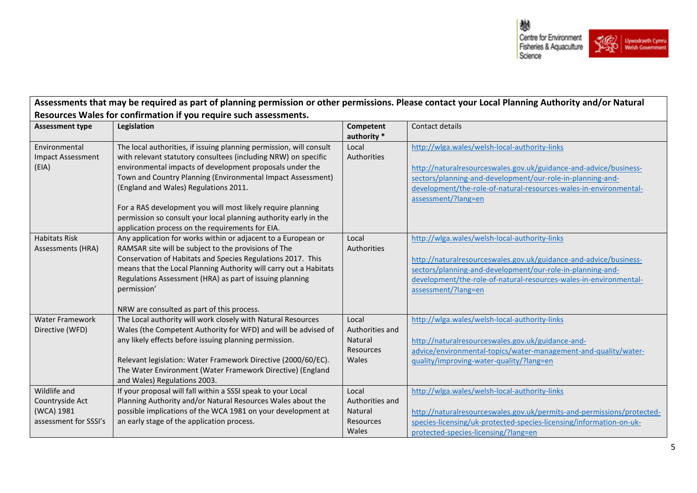

| Assessments that may be required as part of planning permission or other permissions. Please contact your Local Planning Authority and/or Natural |                                                                                                                                 |                          |                                                                        |  |
|---------------------------------------------------------------------------------------------------------------------------------------------------|---------------------------------------------------------------------------------------------------------------------------------|--------------------------|------------------------------------------------------------------------|--|
|                                                                                                                                                   | Resources Wales for confirmation if you require such assessments.                                                               |                          |                                                                        |  |
| <b>Assessment type</b>                                                                                                                            | Legislation                                                                                                                     | Competent<br>authority * | Contact details                                                        |  |
| Environmental                                                                                                                                     | The local authorities, if issuing planning permission, will consult                                                             | Local                    | http://wlga.wales/welsh-local-authority-links                          |  |
| <b>Impact Assessment</b>                                                                                                                          | with relevant statutory consultees (including NRW) on specific                                                                  | Authorities              |                                                                        |  |
| (EIA)                                                                                                                                             | environmental impacts of development proposals under the                                                                        |                          | http://naturalresourceswales.gov.uk/guidance-and-advice/business-      |  |
|                                                                                                                                                   | Town and Country Planning (Environmental Impact Assessment)                                                                     |                          | sectors/planning-and-development/our-role-in-planning-and-             |  |
|                                                                                                                                                   | (England and Wales) Regulations 2011.                                                                                           |                          | development/the-role-of-natural-resources-wales-in-environmental-      |  |
|                                                                                                                                                   |                                                                                                                                 |                          | assessment/?lang=en                                                    |  |
|                                                                                                                                                   | For a RAS development you will most likely require planning<br>permission so consult your local planning authority early in the |                          |                                                                        |  |
|                                                                                                                                                   | application process on the requirements for EIA.                                                                                |                          |                                                                        |  |
| <b>Habitats Risk</b>                                                                                                                              | Any application for works within or adjacent to a European or                                                                   | Local                    | http://wlga.wales/welsh-local-authority-links                          |  |
| Assessments (HRA)                                                                                                                                 | RAMSAR site will be subject to the provisions of The                                                                            | Authorities              |                                                                        |  |
|                                                                                                                                                   | Conservation of Habitats and Species Regulations 2017. This                                                                     |                          | http://naturalresourceswales.gov.uk/guidance-and-advice/business-      |  |
|                                                                                                                                                   | means that the Local Planning Authority will carry out a Habitats                                                               |                          | sectors/planning-and-development/our-role-in-planning-and-             |  |
|                                                                                                                                                   | Regulations Assessment (HRA) as part of issuing planning                                                                        |                          | development/the-role-of-natural-resources-wales-in-environmental-      |  |
|                                                                                                                                                   | permission'                                                                                                                     |                          | assessment/?lang=en                                                    |  |
|                                                                                                                                                   |                                                                                                                                 |                          |                                                                        |  |
|                                                                                                                                                   | NRW are consulted as part of this process.                                                                                      |                          |                                                                        |  |
| <b>Water Framework</b><br>Directive (WFD)                                                                                                         | The Local authority will work closely with Natural Resources<br>Wales (the Competent Authority for WFD) and will be advised of  | Local<br>Authorities and | http://wlga.wales/welsh-local-authority-links                          |  |
|                                                                                                                                                   | any likely effects before issuing planning permission.                                                                          | Natural                  | http://naturalresourceswales.gov.uk/guidance-and-                      |  |
|                                                                                                                                                   |                                                                                                                                 | Resources                | advice/environmental-topics/water-management-and-quality/water-        |  |
|                                                                                                                                                   | Relevant legislation: Water Framework Directive (2000/60/EC).                                                                   | Wales                    | quality/improving-water-quality/?lang=en                               |  |
|                                                                                                                                                   | The Water Environment (Water Framework Directive) (England                                                                      |                          |                                                                        |  |
|                                                                                                                                                   | and Wales) Regulations 2003.                                                                                                    |                          |                                                                        |  |
| Wildlife and                                                                                                                                      | If your proposal will fall within a SSSI speak to your Local                                                                    | Local                    | http://wlga.wales/welsh-local-authority-links                          |  |
| Countryside Act                                                                                                                                   | Planning Authority and/or Natural Resources Wales about the                                                                     | Authorities and          |                                                                        |  |
| (WCA) 1981                                                                                                                                        | possible implications of the WCA 1981 on your development at                                                                    | Natural                  | http://naturalresourceswales.gov.uk/permits-and-permissions/protected- |  |
| assessment for SSSI's                                                                                                                             | an early stage of the application process.                                                                                      | Resources                | species-licensing/uk-protected-species-licensing/information-on-uk-    |  |
|                                                                                                                                                   |                                                                                                                                 | Wales                    | protected-species-licensing/?lang=en                                   |  |